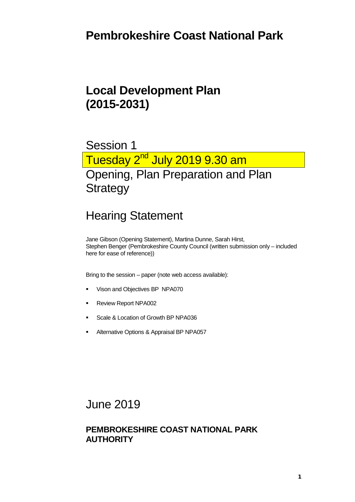# **Pembrokeshire Coast National Park**

# **Local Development Plan (2015-2031)**

# Session 1 Tuesday 2<sup>nd</sup> July 2019 9.30 am Opening, Plan Preparation and Plan **Strategy**

# Hearing Statement

Jane Gibson (Opening Statement), Martina Dunne, Sarah Hirst, Stephen Benger (Pembrokeshire County Council (written submission only – included here for ease of reference))

Bring to the session – paper (note web access available):

- Vison and Objectives BP NPA070
- Review Report NPA002
- Scale & Location of Growth BP NPA036
- **Alternative Options & Appraisal BP NPA057**

#### June 2019

#### **PEMBROKESHIRE COAST NATIONAL PARK AUTHORITY**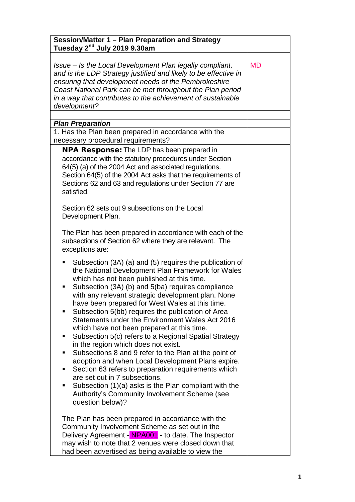| Session/Matter 1 - Plan Preparation and Strategy<br>Tuesday 2 <sup>nd</sup> July 2019 9.30am                                                                                                                                                                                                                                                                                                                                                                                                                                                                                                                                                                                                                                                                                                                                                                                                                                                          |           |
|-------------------------------------------------------------------------------------------------------------------------------------------------------------------------------------------------------------------------------------------------------------------------------------------------------------------------------------------------------------------------------------------------------------------------------------------------------------------------------------------------------------------------------------------------------------------------------------------------------------------------------------------------------------------------------------------------------------------------------------------------------------------------------------------------------------------------------------------------------------------------------------------------------------------------------------------------------|-----------|
| Issue – Is the Local Development Plan legally compliant,<br>and is the LDP Strategy justified and likely to be effective in<br>ensuring that development needs of the Pembrokeshire<br>Coast National Park can be met throughout the Plan period<br>in a way that contributes to the achievement of sustainable<br>development?                                                                                                                                                                                                                                                                                                                                                                                                                                                                                                                                                                                                                       | <b>MD</b> |
|                                                                                                                                                                                                                                                                                                                                                                                                                                                                                                                                                                                                                                                                                                                                                                                                                                                                                                                                                       |           |
| <b>Plan Preparation</b><br>1. Has the Plan been prepared in accordance with the<br>necessary procedural requirements?                                                                                                                                                                                                                                                                                                                                                                                                                                                                                                                                                                                                                                                                                                                                                                                                                                 |           |
| <b>NPA Response:</b> The LDP has been prepared in<br>accordance with the statutory procedures under Section<br>64(5) (a) of the 2004 Act and associated regulations.<br>Section 64(5) of the 2004 Act asks that the requirements of<br>Sections 62 and 63 and regulations under Section 77 are<br>satisfied.                                                                                                                                                                                                                                                                                                                                                                                                                                                                                                                                                                                                                                          |           |
| Section 62 sets out 9 subsections on the Local<br>Development Plan.                                                                                                                                                                                                                                                                                                                                                                                                                                                                                                                                                                                                                                                                                                                                                                                                                                                                                   |           |
| The Plan has been prepared in accordance with each of the<br>subsections of Section 62 where they are relevant. The<br>exceptions are:                                                                                                                                                                                                                                                                                                                                                                                                                                                                                                                                                                                                                                                                                                                                                                                                                |           |
| Subsection (3A) (a) and (5) requires the publication of<br>п<br>the National Development Plan Framework for Wales<br>which has not been published at this time.<br>Subsection (3A) (b) and 5(ba) requires compliance<br>п<br>with any relevant strategic development plan. None<br>have been prepared for West Wales at this time.<br>Subsection 5(bb) requires the publication of Area<br>п<br>Statements under the Environment Wales Act 2016<br>which have not been prepared at this time.<br>Subsection 5(c) refers to a Regional Spatial Strategy<br>п<br>in the region which does not exist.<br>Subsections 8 and 9 refer to the Plan at the point of<br>٠<br>adoption and when Local Development Plans expire.<br>Section 63 refers to preparation requirements which<br>٠<br>are set out in 7 subsections.<br>Subsection (1)(a) asks is the Plan compliant with the<br>п<br>Authority's Community Involvement Scheme (see<br>question below)? |           |
| The Plan has been prepared in accordance with the<br>Community Involvement Scheme as set out in the<br>Delivery Agreement - NPA001 - to date. The Inspector<br>may wish to note that 2 venues were closed down that<br>had been advertised as being available to view the                                                                                                                                                                                                                                                                                                                                                                                                                                                                                                                                                                                                                                                                             |           |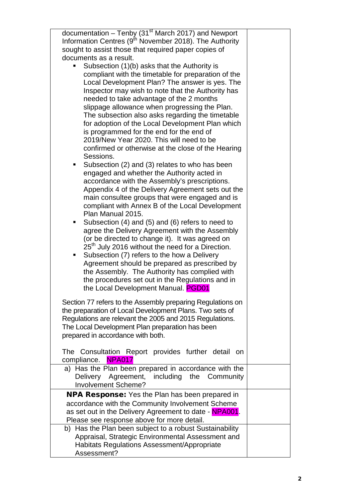| documentation $-$ Tenby (31 <sup>st</sup> March 2017) and Newport<br>Information Centres $(9th$ November 2018). The Authority |  |
|-------------------------------------------------------------------------------------------------------------------------------|--|
| sought to assist those that required paper copies of                                                                          |  |
| documents as a result.                                                                                                        |  |
| Subsection (1)(b) asks that the Authority is                                                                                  |  |
|                                                                                                                               |  |
| compliant with the timetable for preparation of the                                                                           |  |
| Local Development Plan? The answer is yes. The                                                                                |  |
| Inspector may wish to note that the Authority has                                                                             |  |
| needed to take advantage of the 2 months                                                                                      |  |
| slippage allowance when progressing the Plan.                                                                                 |  |
| The subsection also asks regarding the timetable                                                                              |  |
| for adoption of the Local Development Plan which                                                                              |  |
| is programmed for the end for the end of                                                                                      |  |
| 2019/New Year 2020. This will need to be                                                                                      |  |
| confirmed or otherwise at the close of the Hearing                                                                            |  |
| Sessions.                                                                                                                     |  |
| Subsection (2) and (3) relates to who has been<br>٠                                                                           |  |
| engaged and whether the Authority acted in                                                                                    |  |
| accordance with the Assembly's prescriptions.                                                                                 |  |
| Appendix 4 of the Delivery Agreement sets out the                                                                             |  |
| main consultee groups that were engaged and is                                                                                |  |
| compliant with Annex B of the Local Development                                                                               |  |
| Plan Manual 2015.                                                                                                             |  |
| Subsection (4) and (5) and (6) refers to need to<br>٠                                                                         |  |
| agree the Delivery Agreement with the Assembly                                                                                |  |
| (or be directed to change it). It was agreed on                                                                               |  |
| 25 <sup>th</sup> July 2016 without the need for a Direction.                                                                  |  |
| Subsection (7) refers to the how a Delivery<br>٠                                                                              |  |
| Agreement should be prepared as prescribed by                                                                                 |  |
| the Assembly. The Authority has complied with                                                                                 |  |
| the procedures set out in the Regulations and in                                                                              |  |
| the Local Development Manual. PGD01                                                                                           |  |
|                                                                                                                               |  |
| Section 77 refers to the Assembly preparing Regulations on                                                                    |  |
| the preparation of Local Development Plans. Two sets of                                                                       |  |
| Regulations are relevant the 2005 and 2015 Regulations.                                                                       |  |
| The Local Development Plan preparation has been<br>prepared in accordance with both.                                          |  |
|                                                                                                                               |  |
| The Consultation Report provides further detail<br>- on                                                                       |  |
| <b>NPA017</b><br>compliance.                                                                                                  |  |
| a) Has the Plan been prepared in accordance with the                                                                          |  |
| Delivery Agreement, including the Community                                                                                   |  |
| <b>Involvement Scheme?</b>                                                                                                    |  |
| <b>NPA Response:</b> Yes the Plan has been prepared in                                                                        |  |
| accordance with the Community Involvement Scheme                                                                              |  |
| as set out in the Delivery Agreement to date - NPA001.                                                                        |  |
| Please see response above for more detail.                                                                                    |  |
| b) Has the Plan been subject to a robust Sustainability                                                                       |  |
| Appraisal, Strategic Environmental Assessment and                                                                             |  |
| <b>Habitats Regulations Assessment/Appropriate</b>                                                                            |  |
| Assessment?                                                                                                                   |  |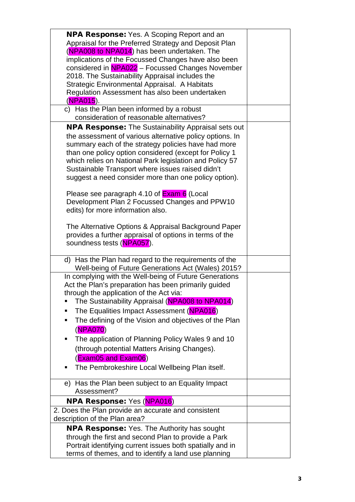| <b>NPA Response:</b> Yes. A Scoping Report and an<br>Appraisal for the Preferred Strategy and Deposit Plan<br>(NPA008 to NPA014) has been undertaken. The<br>implications of the Focussed Changes have also been<br>considered in NPA022 - Focussed Changes November<br>2018. The Sustainability Appraisal includes the<br>Strategic Environmental Appraisal. A Habitats<br>Regulation Assessment has also been undertaken<br>(NPA015).<br>c) Has the Plan been informed by a robust                                                                                                                                                                                                                       |  |
|------------------------------------------------------------------------------------------------------------------------------------------------------------------------------------------------------------------------------------------------------------------------------------------------------------------------------------------------------------------------------------------------------------------------------------------------------------------------------------------------------------------------------------------------------------------------------------------------------------------------------------------------------------------------------------------------------------|--|
| consideration of reasonable alternatives?                                                                                                                                                                                                                                                                                                                                                                                                                                                                                                                                                                                                                                                                  |  |
| <b>NPA Response:</b> The Sustainability Appraisal sets out<br>the assessment of various alternative policy options. In<br>summary each of the strategy policies have had more<br>than one policy option considered (except for Policy 1<br>which relies on National Park legislation and Policy 57<br>Sustainable Transport where issues raised didn't<br>suggest a need consider more than one policy option).<br>Please see paragraph 4.10 of <b>Exam 6</b> (Local<br>Development Plan 2 Focussed Changes and PPW10<br>edits) for more information also.<br>The Alternative Options & Appraisal Background Paper<br>provides a further appraisal of options in terms of the<br>soundness tests (NPA057). |  |
| d) Has the Plan had regard to the requirements of the<br>Well-being of Future Generations Act (Wales) 2015?                                                                                                                                                                                                                                                                                                                                                                                                                                                                                                                                                                                                |  |
| In complying with the Well-being of Future Generations<br>Act the Plan's preparation has been primarily guided<br>through the application of the Act via:<br>The Sustainability Appraisal (NPA008 to NPA014)<br>п<br>The Equalities Impact Assessment (NPA016)<br>п<br>The defining of the Vision and objectives of the Plan<br>п<br>(NPA070)<br>The application of Planning Policy Wales 9 and 10<br>п<br>(through potential Matters Arising Changes).<br>(Exam05 and Exam06)<br>The Pembrokeshire Local Wellbeing Plan itself.<br>e) Has the Plan been subject to an Equality Impact                                                                                                                     |  |
| Assessment?                                                                                                                                                                                                                                                                                                                                                                                                                                                                                                                                                                                                                                                                                                |  |
| NPA Response: Yes (NPA016)<br>2. Does the Plan provide an accurate and consistent                                                                                                                                                                                                                                                                                                                                                                                                                                                                                                                                                                                                                          |  |
| description of the Plan area?                                                                                                                                                                                                                                                                                                                                                                                                                                                                                                                                                                                                                                                                              |  |
| <b>NPA Response:</b> Yes. The Authority has sought<br>through the first and second Plan to provide a Park<br>Portrait identifying current issues both spatially and in<br>terms of themes, and to identify a land use planning                                                                                                                                                                                                                                                                                                                                                                                                                                                                             |  |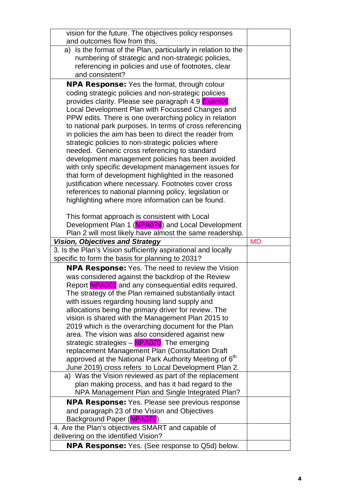| vision for the future. The objectives policy responses                                                       |           |
|--------------------------------------------------------------------------------------------------------------|-----------|
| and outcomes flow from this.                                                                                 |           |
| a) Is the format of the Plan, particularly in relation to the                                                |           |
| numbering of strategic and non-strategic policies,                                                           |           |
| referencing in policies and use of footnotes, clear                                                          |           |
| and consistent?                                                                                              |           |
| <b>NPA Response:</b> Yes the format, through colour                                                          |           |
| coding strategic policies and non-strategic policies                                                         |           |
| provides clarity. Please see paragraph 4.9 <b>Exam06</b>                                                     |           |
| Local Development Plan with Focussed Changes and                                                             |           |
| PPW edits. There is one overarching policy in relation                                                       |           |
| to national park purposes. In terms of cross referencing                                                     |           |
| in policies the aim has been to direct the reader from<br>strategic policies to non-strategic policies where |           |
| needed. Generic cross referencing to standard                                                                |           |
| development management policies has been avoided                                                             |           |
| with only specific development management issues for                                                         |           |
| that form of development highlighted in the reasoned                                                         |           |
| justification where necessary. Footnotes cover cross                                                         |           |
| references to national planning policy, legislation or                                                       |           |
| highlighting where more information can be found.                                                            |           |
|                                                                                                              |           |
| This format approach is consistent with Local                                                                |           |
| Development Plan 1 (NPA074) and Local Development                                                            |           |
| Plan 2 will most likely have almost the same readership.                                                     |           |
|                                                                                                              |           |
| <b>Vision, Objectives and Strategy</b>                                                                       | <b>MD</b> |
| 3. Is the Plan's Vision sufficiently aspirational and locally                                                |           |
| specific to form the basis for planning to 2031?                                                             |           |
| NPA Response: Yes. The need to review the Vision                                                             |           |
| was considered against the backdrop of the Review                                                            |           |
| Report NPA002 and any consequential edits required.                                                          |           |
| The strategy of the Plan remained substantially intact                                                       |           |
| with issues regarding housing land supply and                                                                |           |
| allocations being the primary driver for review. The                                                         |           |
| vision is shared with the Management Plan 2015 to<br>2019 which is the overarching document for the Plan     |           |
| area. The vision was also considered against new                                                             |           |
| strategic strategies - NPA070. The emerging                                                                  |           |
| replacement Management Plan (Consultation Draft                                                              |           |
| approved at the National Park Authority Meeting of 6 <sup>th</sup>                                           |           |
| June 2019) cross refers to Local Development Plan 2.                                                         |           |
| a) Was the Vision reviewed as part of the replacement                                                        |           |
| plan making process, and has it had regard to the                                                            |           |
| NPA Management Plan and Single Integrated Plan?                                                              |           |
| NPA Response: Yes. Please see previous response                                                              |           |
| and paragraph 23 of the Vision and Objectives                                                                |           |
| Background Paper (NPA070).                                                                                   |           |
| 4. Are the Plan's objectives SMART and capable of                                                            |           |
| delivering on the identified Vision?<br><b>NPA Response:</b> Yes. (See response to Q5d) below.               |           |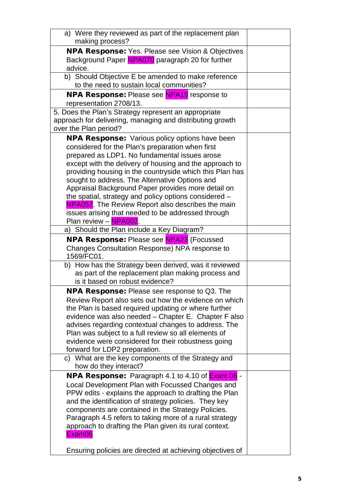| a) Were they reviewed as part of the replacement plan<br>making process?                                                                                                                                                                                                                                                                                                                                                                                                                                                                                                               |  |
|----------------------------------------------------------------------------------------------------------------------------------------------------------------------------------------------------------------------------------------------------------------------------------------------------------------------------------------------------------------------------------------------------------------------------------------------------------------------------------------------------------------------------------------------------------------------------------------|--|
| <b>NPA Response:</b> Yes. Please see Vision & Objectives<br>Background Paper NPA070 paragraph 20 for further<br>advice.                                                                                                                                                                                                                                                                                                                                                                                                                                                                |  |
| b) Should Objective E be amended to make reference<br>to the need to sustain local communities?                                                                                                                                                                                                                                                                                                                                                                                                                                                                                        |  |
| <b>NPA Response:</b> Please see <b>NPA19</b> response to<br>representation 2708/13.                                                                                                                                                                                                                                                                                                                                                                                                                                                                                                    |  |
| 5. Does the Plan's Strategy represent an appropriate<br>approach for delivering, managing and distributing growth<br>over the Plan period?                                                                                                                                                                                                                                                                                                                                                                                                                                             |  |
| <b>NPA Response:</b> Various policy options have been<br>considered for the Plan's preparation when first<br>prepared as LDP1. No fundamental issues arose<br>except with the delivery of housing and the approach to<br>providing housing in the countryside which this Plan has<br>sought to address. The Alternative Options and<br>Appraisal Background Paper provides more detail on<br>the spatial, strategy and policy options considered -<br>NPA057. The Review Report also describes the main<br>issues arising that needed to be addressed through<br>Plan review - NPA002. |  |
| a) Should the Plan include a Key Diagram?                                                                                                                                                                                                                                                                                                                                                                                                                                                                                                                                              |  |
| <b>NPA Response:</b> Please see <b>NPA23</b> (Focussed<br>Changes Consultation Response) NPA response to<br>1569/FC01.                                                                                                                                                                                                                                                                                                                                                                                                                                                                 |  |
| b) How has the Strategy been derived, was it reviewed<br>as part of the replacement plan making process and<br>is it based on robust evidence?                                                                                                                                                                                                                                                                                                                                                                                                                                         |  |
| <b>NPA Response:</b> Please see response to Q3. The<br>Review Report also sets out how the evidence on which<br>the Plan is based required updating or where further<br>evidence was also needed - Chapter E. Chapter F also<br>advises regarding contextual changes to address. The<br>Plan was subject to a full review so all elements of<br>evidence were considered for their robustness going<br>forward for LDP2 preparation.                                                                                                                                                   |  |
| c) What are the key components of the Strategy and<br>how do they interact?                                                                                                                                                                                                                                                                                                                                                                                                                                                                                                            |  |
| <b>NPA Response:</b> Paragraph 4.1 to 4.10 of <b>Exam 06</b><br>Local Development Plan with Focussed Changes and<br>PPW edits - explains the approach to drafting the Plan<br>and the identification of strategy policies. They key<br>components are contained in the Strategy Policies.<br>Paragraph 4.5 refers to taking more of a rural strategy<br>approach to drafting the Plan given its rural context.<br>Exam06                                                                                                                                                               |  |
| Ensuring policies are directed at achieving objectives of                                                                                                                                                                                                                                                                                                                                                                                                                                                                                                                              |  |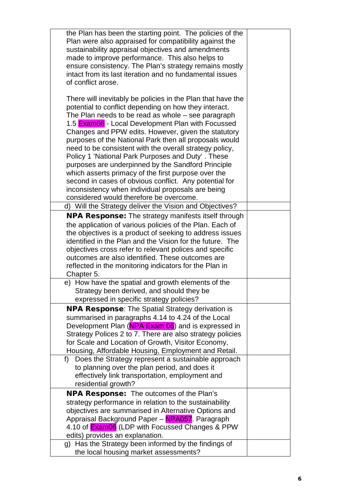| the Plan has been the starting point. The policies of the<br>Plan were also appraised for compatibility against the<br>sustainability appraisal objectives and amendments<br>made to improve performance. This also helps to<br>ensure consistency. The Plan's strategy remains mostly<br>intact from its last iteration and no fundamental issues<br>of conflict arose.                                                                                                                                                                                                                                                                                                                                                                |  |
|-----------------------------------------------------------------------------------------------------------------------------------------------------------------------------------------------------------------------------------------------------------------------------------------------------------------------------------------------------------------------------------------------------------------------------------------------------------------------------------------------------------------------------------------------------------------------------------------------------------------------------------------------------------------------------------------------------------------------------------------|--|
| There will inevitably be policies in the Plan that have the<br>potential to conflict depending on how they interact.<br>The Plan needs to be read as whole – see paragraph<br>1.5 Exam06 - Local Development Plan with Focussed<br>Changes and PPW edits. However, given the statutory<br>purposes of the National Park then all proposals would<br>need to be consistent with the overall strategy policy,<br>Policy 1 'National Park Purposes and Duty'. These<br>purposes are underpinned by the Sandford Principle<br>which asserts primacy of the first purpose over the<br>second in cases of obvious conflict. Any potential for<br>inconsistency when individual proposals are being<br>considered would therefore be overcome. |  |
| Will the Strategy deliver the Vision and Objectives?<br>d)                                                                                                                                                                                                                                                                                                                                                                                                                                                                                                                                                                                                                                                                              |  |
| <b>NPA Response:</b> The strategy manifests itself through<br>the application of various policies of the Plan. Each of<br>the objectives is a product of seeking to address issues<br>identified in the Plan and the Vision for the future. The<br>objectives cross refer to relevant polices and specific<br>outcomes are also identified. These outcomes are<br>reflected in the monitoring indicators for the Plan in<br>Chapter 5.                                                                                                                                                                                                                                                                                                  |  |
| e) How have the spatial and growth elements of the<br>Strategy been derived, and should they be<br>expressed in specific strategy policies?                                                                                                                                                                                                                                                                                                                                                                                                                                                                                                                                                                                             |  |
| <b>NPA Response:</b> The Spatial Strategy derivation is                                                                                                                                                                                                                                                                                                                                                                                                                                                                                                                                                                                                                                                                                 |  |
| summarised in paragraphs 4.14 to 4.24 of the Local<br>Development Plan (NPA Exam 06) and is expressed in<br>Strategy Polices 2 to 7. There are also strategy policies<br>for Scale and Location of Growth, Visitor Economy,<br>Housing, Affordable Housing, Employment and Retail.                                                                                                                                                                                                                                                                                                                                                                                                                                                      |  |
| f) Does the Strategy represent a sustainable approach<br>to planning over the plan period, and does it<br>effectively link transportation, employment and<br>residential growth?                                                                                                                                                                                                                                                                                                                                                                                                                                                                                                                                                        |  |
| <b>NPA Response:</b> The outcomes of the Plan's                                                                                                                                                                                                                                                                                                                                                                                                                                                                                                                                                                                                                                                                                         |  |
| strategy performance in relation to the sustainability<br>objectives are summarised in Alternative Options and<br>Appraisal Background Paper - NPA057. Paragraph<br>4.10 of <b>Exam06</b> (LDP with Focussed Changes & PPW<br>edits) provides an explanation.                                                                                                                                                                                                                                                                                                                                                                                                                                                                           |  |
| g) Has the Strategy been informed by the findings of                                                                                                                                                                                                                                                                                                                                                                                                                                                                                                                                                                                                                                                                                    |  |
| the local housing market assessments?                                                                                                                                                                                                                                                                                                                                                                                                                                                                                                                                                                                                                                                                                                   |  |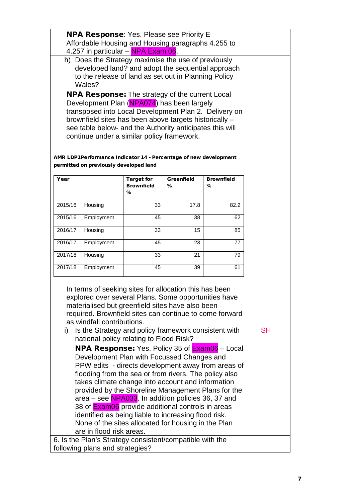| <b>NPA Response:</b> Yes. Please see Priority E<br>Affordable Housing and Housing paragraphs 4.255 to<br>4.257 in particular - NPA Exam 06.<br>h) Does the Strategy maximise the use of previously<br>developed land? and adopt the sequential approach<br>to the release of land as set out in Planning Policy<br>Wales?<br><b>NPA Response:</b> The strategy of the current Local<br>Development Plan (NPA074) has been largely<br>transposed into Local Development Plan 2. Delivery on<br>brownfield sites has been above targets historically -<br>see table below- and the Authority anticipates this will |
|------------------------------------------------------------------------------------------------------------------------------------------------------------------------------------------------------------------------------------------------------------------------------------------------------------------------------------------------------------------------------------------------------------------------------------------------------------------------------------------------------------------------------------------------------------------------------------------------------------------|
|                                                                                                                                                                                                                                                                                                                                                                                                                                                                                                                                                                                                                  |
|                                                                                                                                                                                                                                                                                                                                                                                                                                                                                                                                                                                                                  |
|                                                                                                                                                                                                                                                                                                                                                                                                                                                                                                                                                                                                                  |
|                                                                                                                                                                                                                                                                                                                                                                                                                                                                                                                                                                                                                  |
|                                                                                                                                                                                                                                                                                                                                                                                                                                                                                                                                                                                                                  |
|                                                                                                                                                                                                                                                                                                                                                                                                                                                                                                                                                                                                                  |
|                                                                                                                                                                                                                                                                                                                                                                                                                                                                                                                                                                                                                  |
|                                                                                                                                                                                                                                                                                                                                                                                                                                                                                                                                                                                                                  |
|                                                                                                                                                                                                                                                                                                                                                                                                                                                                                                                                                                                                                  |
|                                                                                                                                                                                                                                                                                                                                                                                                                                                                                                                                                                                                                  |
|                                                                                                                                                                                                                                                                                                                                                                                                                                                                                                                                                                                                                  |
| continue under a similar policy framework.                                                                                                                                                                                                                                                                                                                                                                                                                                                                                                                                                                       |
|                                                                                                                                                                                                                                                                                                                                                                                                                                                                                                                                                                                                                  |
| AMR LDP1Performance Indicator 14 - Percentage of new development                                                                                                                                                                                                                                                                                                                                                                                                                                                                                                                                                 |
| permitted on previously developed land                                                                                                                                                                                                                                                                                                                                                                                                                                                                                                                                                                           |
|                                                                                                                                                                                                                                                                                                                                                                                                                                                                                                                                                                                                                  |
| <b>Greenfield</b><br><b>Brownfield</b><br>Year<br><b>Target for</b><br><b>Brownfield</b><br>%<br>℅                                                                                                                                                                                                                                                                                                                                                                                                                                                                                                               |
| %                                                                                                                                                                                                                                                                                                                                                                                                                                                                                                                                                                                                                |
|                                                                                                                                                                                                                                                                                                                                                                                                                                                                                                                                                                                                                  |
| 2015/16<br>33<br>17.8<br>82.2<br>Housing                                                                                                                                                                                                                                                                                                                                                                                                                                                                                                                                                                         |
| 2015/16<br>Employment<br>45<br>38<br>62                                                                                                                                                                                                                                                                                                                                                                                                                                                                                                                                                                          |
| 2016/17<br>Housing<br>33<br>15<br>85                                                                                                                                                                                                                                                                                                                                                                                                                                                                                                                                                                             |
| 2016/17<br>Employment<br>45<br>23<br>77                                                                                                                                                                                                                                                                                                                                                                                                                                                                                                                                                                          |
| 2017/18<br>Housing<br>33<br>21<br>79                                                                                                                                                                                                                                                                                                                                                                                                                                                                                                                                                                             |
| 2017/18<br>Employment<br>45<br>39<br>61                                                                                                                                                                                                                                                                                                                                                                                                                                                                                                                                                                          |
|                                                                                                                                                                                                                                                                                                                                                                                                                                                                                                                                                                                                                  |
| In terms of seeking sites for allocation this has been                                                                                                                                                                                                                                                                                                                                                                                                                                                                                                                                                           |
| explored over several Plans. Some opportunities have                                                                                                                                                                                                                                                                                                                                                                                                                                                                                                                                                             |
| materialised but greenfield sites have also been                                                                                                                                                                                                                                                                                                                                                                                                                                                                                                                                                                 |
| required. Brownfield sites can continue to come forward                                                                                                                                                                                                                                                                                                                                                                                                                                                                                                                                                          |
| as windfall contributions.                                                                                                                                                                                                                                                                                                                                                                                                                                                                                                                                                                                       |
| Is the Strategy and policy framework consistent with<br><b>SH</b><br>i)                                                                                                                                                                                                                                                                                                                                                                                                                                                                                                                                          |
| national policy relating to Flood Risk?                                                                                                                                                                                                                                                                                                                                                                                                                                                                                                                                                                          |
| <b>NPA Response:</b> Yes. Policy 35 of <b>Exam06</b> – Local                                                                                                                                                                                                                                                                                                                                                                                                                                                                                                                                                     |
| Development Plan with Focussed Changes and                                                                                                                                                                                                                                                                                                                                                                                                                                                                                                                                                                       |
| PPW edits - directs development away from areas of                                                                                                                                                                                                                                                                                                                                                                                                                                                                                                                                                               |
| flooding from the sea or from rivers. The policy also                                                                                                                                                                                                                                                                                                                                                                                                                                                                                                                                                            |
| takes climate change into account and information                                                                                                                                                                                                                                                                                                                                                                                                                                                                                                                                                                |
| provided by the Shoreline Management Plans for the                                                                                                                                                                                                                                                                                                                                                                                                                                                                                                                                                               |
| area – see NPA033. In addition policies 36, 37 and                                                                                                                                                                                                                                                                                                                                                                                                                                                                                                                                                               |
| 38 of <b>Exam06</b> provide additional controls in areas                                                                                                                                                                                                                                                                                                                                                                                                                                                                                                                                                         |
| identified as being liable to increasing flood risk.                                                                                                                                                                                                                                                                                                                                                                                                                                                                                                                                                             |
| None of the sites allocated for housing in the Plan<br>are in flood risk areas.                                                                                                                                                                                                                                                                                                                                                                                                                                                                                                                                  |
| 6. Is the Plan's Strategy consistent/compatible with the                                                                                                                                                                                                                                                                                                                                                                                                                                                                                                                                                         |
| following plans and strategies?                                                                                                                                                                                                                                                                                                                                                                                                                                                                                                                                                                                  |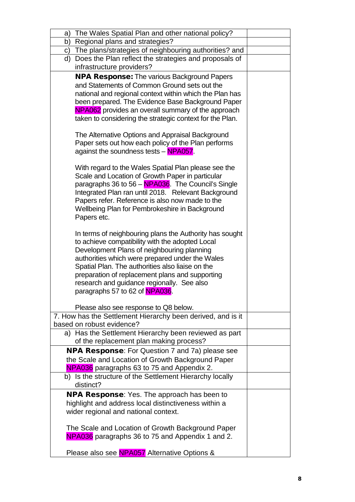| b) Regional plans and strategies?<br>c) The plans/strategies of neighbouring authorities? and<br>Does the Plan reflect the strategies and proposals of<br>d)<br>infrastructure providers?<br><b>NPA Response:</b> The various Background Papers<br>and Statements of Common Ground sets out the<br>national and regional context within which the Plan has<br>been prepared. The Evidence Base Background Paper<br>NPA062 provides an overall summary of the approach<br>taken to considering the strategic context for the Plan.<br>The Alternative Options and Appraisal Background<br>Paper sets out how each policy of the Plan performs<br>against the soundness tests - NPA057.<br>With regard to the Wales Spatial Plan please see the<br>Scale and Location of Growth Paper in particular<br>paragraphs 36 to 56 - NPA036. The Council's Single<br>Integrated Plan ran until 2018. Relevant Background<br>Papers refer. Reference is also now made to the<br>Wellbeing Plan for Pembrokeshire in Background<br>Papers etc.<br>In terms of neighbouring plans the Authority has sought<br>to achieve compatibility with the adopted Local<br>Development Plans of neighbouring planning<br>authorities which were prepared under the Wales<br>Spatial Plan. The authorities also liaise on the<br>preparation of replacement plans and supporting<br>research and guidance regionally. See also<br>paragraphs 57 to 62 of NPA036.<br>Please also see response to Q8 below.<br>7. How has the Settlement Hierarchy been derived, and is it<br>based on robust evidence?<br>a) Has the Settlement Hierarchy been reviewed as part<br>of the replacement plan making process?<br><b>NPA Response:</b> For Question 7 and 7a) please see<br>the Scale and Location of Growth Background Paper<br>NPA036 paragraphs 63 to 75 and Appendix 2.<br>b) Is the structure of the Settlement Hierarchy locally<br>distinct? |
|------------------------------------------------------------------------------------------------------------------------------------------------------------------------------------------------------------------------------------------------------------------------------------------------------------------------------------------------------------------------------------------------------------------------------------------------------------------------------------------------------------------------------------------------------------------------------------------------------------------------------------------------------------------------------------------------------------------------------------------------------------------------------------------------------------------------------------------------------------------------------------------------------------------------------------------------------------------------------------------------------------------------------------------------------------------------------------------------------------------------------------------------------------------------------------------------------------------------------------------------------------------------------------------------------------------------------------------------------------------------------------------------------------------------------------------------------------------------------------------------------------------------------------------------------------------------------------------------------------------------------------------------------------------------------------------------------------------------------------------------------------------------------------------------------------------------------------------------------------------------------------------------------------------------|
|                                                                                                                                                                                                                                                                                                                                                                                                                                                                                                                                                                                                                                                                                                                                                                                                                                                                                                                                                                                                                                                                                                                                                                                                                                                                                                                                                                                                                                                                                                                                                                                                                                                                                                                                                                                                                                                                                                                        |
|                                                                                                                                                                                                                                                                                                                                                                                                                                                                                                                                                                                                                                                                                                                                                                                                                                                                                                                                                                                                                                                                                                                                                                                                                                                                                                                                                                                                                                                                                                                                                                                                                                                                                                                                                                                                                                                                                                                        |
|                                                                                                                                                                                                                                                                                                                                                                                                                                                                                                                                                                                                                                                                                                                                                                                                                                                                                                                                                                                                                                                                                                                                                                                                                                                                                                                                                                                                                                                                                                                                                                                                                                                                                                                                                                                                                                                                                                                        |
|                                                                                                                                                                                                                                                                                                                                                                                                                                                                                                                                                                                                                                                                                                                                                                                                                                                                                                                                                                                                                                                                                                                                                                                                                                                                                                                                                                                                                                                                                                                                                                                                                                                                                                                                                                                                                                                                                                                        |
|                                                                                                                                                                                                                                                                                                                                                                                                                                                                                                                                                                                                                                                                                                                                                                                                                                                                                                                                                                                                                                                                                                                                                                                                                                                                                                                                                                                                                                                                                                                                                                                                                                                                                                                                                                                                                                                                                                                        |
|                                                                                                                                                                                                                                                                                                                                                                                                                                                                                                                                                                                                                                                                                                                                                                                                                                                                                                                                                                                                                                                                                                                                                                                                                                                                                                                                                                                                                                                                                                                                                                                                                                                                                                                                                                                                                                                                                                                        |
|                                                                                                                                                                                                                                                                                                                                                                                                                                                                                                                                                                                                                                                                                                                                                                                                                                                                                                                                                                                                                                                                                                                                                                                                                                                                                                                                                                                                                                                                                                                                                                                                                                                                                                                                                                                                                                                                                                                        |
|                                                                                                                                                                                                                                                                                                                                                                                                                                                                                                                                                                                                                                                                                                                                                                                                                                                                                                                                                                                                                                                                                                                                                                                                                                                                                                                                                                                                                                                                                                                                                                                                                                                                                                                                                                                                                                                                                                                        |
|                                                                                                                                                                                                                                                                                                                                                                                                                                                                                                                                                                                                                                                                                                                                                                                                                                                                                                                                                                                                                                                                                                                                                                                                                                                                                                                                                                                                                                                                                                                                                                                                                                                                                                                                                                                                                                                                                                                        |
|                                                                                                                                                                                                                                                                                                                                                                                                                                                                                                                                                                                                                                                                                                                                                                                                                                                                                                                                                                                                                                                                                                                                                                                                                                                                                                                                                                                                                                                                                                                                                                                                                                                                                                                                                                                                                                                                                                                        |
|                                                                                                                                                                                                                                                                                                                                                                                                                                                                                                                                                                                                                                                                                                                                                                                                                                                                                                                                                                                                                                                                                                                                                                                                                                                                                                                                                                                                                                                                                                                                                                                                                                                                                                                                                                                                                                                                                                                        |
|                                                                                                                                                                                                                                                                                                                                                                                                                                                                                                                                                                                                                                                                                                                                                                                                                                                                                                                                                                                                                                                                                                                                                                                                                                                                                                                                                                                                                                                                                                                                                                                                                                                                                                                                                                                                                                                                                                                        |
|                                                                                                                                                                                                                                                                                                                                                                                                                                                                                                                                                                                                                                                                                                                                                                                                                                                                                                                                                                                                                                                                                                                                                                                                                                                                                                                                                                                                                                                                                                                                                                                                                                                                                                                                                                                                                                                                                                                        |
|                                                                                                                                                                                                                                                                                                                                                                                                                                                                                                                                                                                                                                                                                                                                                                                                                                                                                                                                                                                                                                                                                                                                                                                                                                                                                                                                                                                                                                                                                                                                                                                                                                                                                                                                                                                                                                                                                                                        |
|                                                                                                                                                                                                                                                                                                                                                                                                                                                                                                                                                                                                                                                                                                                                                                                                                                                                                                                                                                                                                                                                                                                                                                                                                                                                                                                                                                                                                                                                                                                                                                                                                                                                                                                                                                                                                                                                                                                        |
|                                                                                                                                                                                                                                                                                                                                                                                                                                                                                                                                                                                                                                                                                                                                                                                                                                                                                                                                                                                                                                                                                                                                                                                                                                                                                                                                                                                                                                                                                                                                                                                                                                                                                                                                                                                                                                                                                                                        |
|                                                                                                                                                                                                                                                                                                                                                                                                                                                                                                                                                                                                                                                                                                                                                                                                                                                                                                                                                                                                                                                                                                                                                                                                                                                                                                                                                                                                                                                                                                                                                                                                                                                                                                                                                                                                                                                                                                                        |
|                                                                                                                                                                                                                                                                                                                                                                                                                                                                                                                                                                                                                                                                                                                                                                                                                                                                                                                                                                                                                                                                                                                                                                                                                                                                                                                                                                                                                                                                                                                                                                                                                                                                                                                                                                                                                                                                                                                        |
|                                                                                                                                                                                                                                                                                                                                                                                                                                                                                                                                                                                                                                                                                                                                                                                                                                                                                                                                                                                                                                                                                                                                                                                                                                                                                                                                                                                                                                                                                                                                                                                                                                                                                                                                                                                                                                                                                                                        |
|                                                                                                                                                                                                                                                                                                                                                                                                                                                                                                                                                                                                                                                                                                                                                                                                                                                                                                                                                                                                                                                                                                                                                                                                                                                                                                                                                                                                                                                                                                                                                                                                                                                                                                                                                                                                                                                                                                                        |
|                                                                                                                                                                                                                                                                                                                                                                                                                                                                                                                                                                                                                                                                                                                                                                                                                                                                                                                                                                                                                                                                                                                                                                                                                                                                                                                                                                                                                                                                                                                                                                                                                                                                                                                                                                                                                                                                                                                        |
|                                                                                                                                                                                                                                                                                                                                                                                                                                                                                                                                                                                                                                                                                                                                                                                                                                                                                                                                                                                                                                                                                                                                                                                                                                                                                                                                                                                                                                                                                                                                                                                                                                                                                                                                                                                                                                                                                                                        |
|                                                                                                                                                                                                                                                                                                                                                                                                                                                                                                                                                                                                                                                                                                                                                                                                                                                                                                                                                                                                                                                                                                                                                                                                                                                                                                                                                                                                                                                                                                                                                                                                                                                                                                                                                                                                                                                                                                                        |
|                                                                                                                                                                                                                                                                                                                                                                                                                                                                                                                                                                                                                                                                                                                                                                                                                                                                                                                                                                                                                                                                                                                                                                                                                                                                                                                                                                                                                                                                                                                                                                                                                                                                                                                                                                                                                                                                                                                        |
|                                                                                                                                                                                                                                                                                                                                                                                                                                                                                                                                                                                                                                                                                                                                                                                                                                                                                                                                                                                                                                                                                                                                                                                                                                                                                                                                                                                                                                                                                                                                                                                                                                                                                                                                                                                                                                                                                                                        |
|                                                                                                                                                                                                                                                                                                                                                                                                                                                                                                                                                                                                                                                                                                                                                                                                                                                                                                                                                                                                                                                                                                                                                                                                                                                                                                                                                                                                                                                                                                                                                                                                                                                                                                                                                                                                                                                                                                                        |
|                                                                                                                                                                                                                                                                                                                                                                                                                                                                                                                                                                                                                                                                                                                                                                                                                                                                                                                                                                                                                                                                                                                                                                                                                                                                                                                                                                                                                                                                                                                                                                                                                                                                                                                                                                                                                                                                                                                        |
|                                                                                                                                                                                                                                                                                                                                                                                                                                                                                                                                                                                                                                                                                                                                                                                                                                                                                                                                                                                                                                                                                                                                                                                                                                                                                                                                                                                                                                                                                                                                                                                                                                                                                                                                                                                                                                                                                                                        |
|                                                                                                                                                                                                                                                                                                                                                                                                                                                                                                                                                                                                                                                                                                                                                                                                                                                                                                                                                                                                                                                                                                                                                                                                                                                                                                                                                                                                                                                                                                                                                                                                                                                                                                                                                                                                                                                                                                                        |
|                                                                                                                                                                                                                                                                                                                                                                                                                                                                                                                                                                                                                                                                                                                                                                                                                                                                                                                                                                                                                                                                                                                                                                                                                                                                                                                                                                                                                                                                                                                                                                                                                                                                                                                                                                                                                                                                                                                        |
|                                                                                                                                                                                                                                                                                                                                                                                                                                                                                                                                                                                                                                                                                                                                                                                                                                                                                                                                                                                                                                                                                                                                                                                                                                                                                                                                                                                                                                                                                                                                                                                                                                                                                                                                                                                                                                                                                                                        |
|                                                                                                                                                                                                                                                                                                                                                                                                                                                                                                                                                                                                                                                                                                                                                                                                                                                                                                                                                                                                                                                                                                                                                                                                                                                                                                                                                                                                                                                                                                                                                                                                                                                                                                                                                                                                                                                                                                                        |
|                                                                                                                                                                                                                                                                                                                                                                                                                                                                                                                                                                                                                                                                                                                                                                                                                                                                                                                                                                                                                                                                                                                                                                                                                                                                                                                                                                                                                                                                                                                                                                                                                                                                                                                                                                                                                                                                                                                        |
|                                                                                                                                                                                                                                                                                                                                                                                                                                                                                                                                                                                                                                                                                                                                                                                                                                                                                                                                                                                                                                                                                                                                                                                                                                                                                                                                                                                                                                                                                                                                                                                                                                                                                                                                                                                                                                                                                                                        |
|                                                                                                                                                                                                                                                                                                                                                                                                                                                                                                                                                                                                                                                                                                                                                                                                                                                                                                                                                                                                                                                                                                                                                                                                                                                                                                                                                                                                                                                                                                                                                                                                                                                                                                                                                                                                                                                                                                                        |
|                                                                                                                                                                                                                                                                                                                                                                                                                                                                                                                                                                                                                                                                                                                                                                                                                                                                                                                                                                                                                                                                                                                                                                                                                                                                                                                                                                                                                                                                                                                                                                                                                                                                                                                                                                                                                                                                                                                        |
|                                                                                                                                                                                                                                                                                                                                                                                                                                                                                                                                                                                                                                                                                                                                                                                                                                                                                                                                                                                                                                                                                                                                                                                                                                                                                                                                                                                                                                                                                                                                                                                                                                                                                                                                                                                                                                                                                                                        |
|                                                                                                                                                                                                                                                                                                                                                                                                                                                                                                                                                                                                                                                                                                                                                                                                                                                                                                                                                                                                                                                                                                                                                                                                                                                                                                                                                                                                                                                                                                                                                                                                                                                                                                                                                                                                                                                                                                                        |
|                                                                                                                                                                                                                                                                                                                                                                                                                                                                                                                                                                                                                                                                                                                                                                                                                                                                                                                                                                                                                                                                                                                                                                                                                                                                                                                                                                                                                                                                                                                                                                                                                                                                                                                                                                                                                                                                                                                        |
|                                                                                                                                                                                                                                                                                                                                                                                                                                                                                                                                                                                                                                                                                                                                                                                                                                                                                                                                                                                                                                                                                                                                                                                                                                                                                                                                                                                                                                                                                                                                                                                                                                                                                                                                                                                                                                                                                                                        |
| <b>NPA Response:</b> Yes. The approach has been to                                                                                                                                                                                                                                                                                                                                                                                                                                                                                                                                                                                                                                                                                                                                                                                                                                                                                                                                                                                                                                                                                                                                                                                                                                                                                                                                                                                                                                                                                                                                                                                                                                                                                                                                                                                                                                                                     |
| highlight and address local distinctiveness within a                                                                                                                                                                                                                                                                                                                                                                                                                                                                                                                                                                                                                                                                                                                                                                                                                                                                                                                                                                                                                                                                                                                                                                                                                                                                                                                                                                                                                                                                                                                                                                                                                                                                                                                                                                                                                                                                   |
| wider regional and national context.                                                                                                                                                                                                                                                                                                                                                                                                                                                                                                                                                                                                                                                                                                                                                                                                                                                                                                                                                                                                                                                                                                                                                                                                                                                                                                                                                                                                                                                                                                                                                                                                                                                                                                                                                                                                                                                                                   |
|                                                                                                                                                                                                                                                                                                                                                                                                                                                                                                                                                                                                                                                                                                                                                                                                                                                                                                                                                                                                                                                                                                                                                                                                                                                                                                                                                                                                                                                                                                                                                                                                                                                                                                                                                                                                                                                                                                                        |
| The Scale and Location of Growth Background Paper                                                                                                                                                                                                                                                                                                                                                                                                                                                                                                                                                                                                                                                                                                                                                                                                                                                                                                                                                                                                                                                                                                                                                                                                                                                                                                                                                                                                                                                                                                                                                                                                                                                                                                                                                                                                                                                                      |
| NPA036 paragraphs 36 to 75 and Appendix 1 and 2.                                                                                                                                                                                                                                                                                                                                                                                                                                                                                                                                                                                                                                                                                                                                                                                                                                                                                                                                                                                                                                                                                                                                                                                                                                                                                                                                                                                                                                                                                                                                                                                                                                                                                                                                                                                                                                                                       |
| Please also see NPA057 Alternative Options &                                                                                                                                                                                                                                                                                                                                                                                                                                                                                                                                                                                                                                                                                                                                                                                                                                                                                                                                                                                                                                                                                                                                                                                                                                                                                                                                                                                                                                                                                                                                                                                                                                                                                                                                                                                                                                                                           |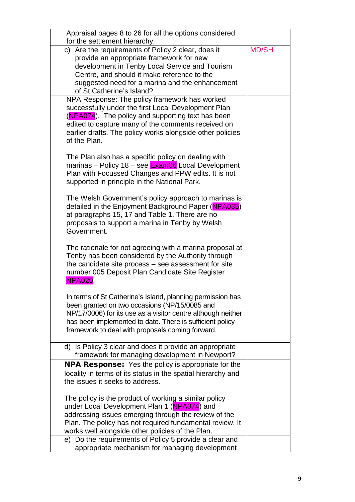| Appraisal pages 8 to 26 for all the options considered<br>for the settlement hierarchy.                                                                                                                                                                                                      |              |
|----------------------------------------------------------------------------------------------------------------------------------------------------------------------------------------------------------------------------------------------------------------------------------------------|--------------|
| c) Are the requirements of Policy 2 clear, does it<br>provide an appropriate framework for new<br>development in Tenby Local Service and Tourism<br>Centre, and should it make reference to the<br>suggested need for a marina and the enhancement<br>of St Catherine's Island?              | <b>MD/SH</b> |
| NPA Response: The policy framework has worked<br>successfully under the first Local Development Plan<br>(NPA074). The policy and supporting text has been<br>edited to capture many of the comments received on<br>earlier drafts. The policy works alongside other policies<br>of the Plan. |              |
| The Plan also has a specific policy on dealing with<br>marinas - Policy 18 - see Exam06 Local Development<br>Plan with Focussed Changes and PPW edits. It is not<br>supported in principle in the National Park.                                                                             |              |
| The Welsh Government's policy approach to marinas is<br>detailed in the Enjoyment Background Paper (NPA035)<br>at paragraphs 15, 17 and Table 1. There are no<br>proposals to support a marina in Tenby by Welsh<br>Government.                                                              |              |
| The rationale for not agreeing with a marina proposal at<br>Tenby has been considered by the Authority through<br>the candidate site process – see assessment for site<br>number 005 Deposit Plan Candidate Site Register<br><b>NPA020.</b>                                                  |              |
| In terms of St Catherine's Island, planning permission has<br>been granted on two occasions (NP/15/0085 and<br>NP/17/0006) for its use as a visitor centre although neither<br>has been implemented to date. There is sufficient policy<br>framework to deal with proposals coming forward.  |              |
| d) Is Policy 3 clear and does it provide an appropriate<br>framework for managing development in Newport?                                                                                                                                                                                    |              |
| <b>NPA Response:</b> Yes the policy is appropriate for the<br>locality in terms of its status in the spatial hierarchy and<br>the issues it seeks to address.                                                                                                                                |              |
| The policy is the product of working a similar policy<br>under Local Development Plan 1 (NPA074) and<br>addressing issues emerging through the review of the<br>Plan. The policy has not required fundamental review. It<br>works well alongside other policies of the Plan.                 |              |
| e) Do the requirements of Policy 5 provide a clear and<br>appropriate mechanism for managing development                                                                                                                                                                                     |              |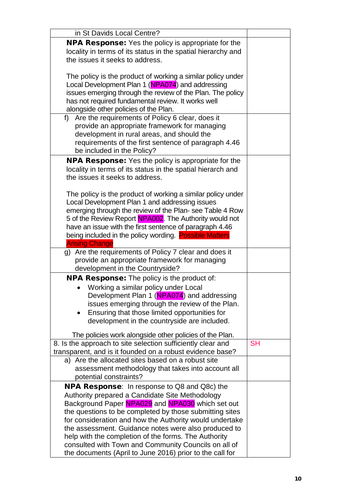| in St Davids Local Centre?                                                       |           |
|----------------------------------------------------------------------------------|-----------|
| <b>NPA Response:</b> Yes the policy is appropriate for the                       |           |
| locality in terms of its status in the spatial hierarchy and                     |           |
| the issues it seeks to address.                                                  |           |
|                                                                                  |           |
| The policy is the product of working a similar policy under                      |           |
| Local Development Plan 1 (NPA074) and addressing                                 |           |
| issues emerging through the review of the Plan. The policy                       |           |
| has not required fundamental review. It works well                               |           |
| alongside other policies of the Plan.                                            |           |
| Are the requirements of Policy 6 clear, does it<br>f)                            |           |
| provide an appropriate framework for managing                                    |           |
| development in rural areas, and should the                                       |           |
| requirements of the first sentence of paragraph 4.46                             |           |
| be included in the Policy?                                                       |           |
| NPA Response: Yes the policy is appropriate for the                              |           |
| locality in terms of its status in the spatial hierarch and                      |           |
| the issues it seeks to address.                                                  |           |
|                                                                                  |           |
| The policy is the product of working a similar policy under                      |           |
| Local Development Plan 1 and addressing issues                                   |           |
| emerging through the review of the Plan- see Table 4 Row                         |           |
| 5 of the Review Report NPA002. The Authority would not                           |           |
| have an issue with the first sentence of paragraph 4.46                          |           |
| being included in the policy wording. Possible Matters                           |           |
|                                                                                  |           |
|                                                                                  |           |
| <b>Arising Change</b>                                                            |           |
| g) Are the requirements of Policy 7 clear and does it                            |           |
| provide an appropriate framework for managing<br>development in the Countryside? |           |
|                                                                                  |           |
| <b>NPA Response:</b> The policy is the product of:                               |           |
| Working a similar policy under Local                                             |           |
| Development Plan 1 (NPA074) and addressing                                       |           |
| issues emerging through the review of the Plan.                                  |           |
| Ensuring that those limited opportunities for                                    |           |
| development in the countryside are included.                                     |           |
| The policies work alongside other policies of the Plan.                          |           |
| 8. Is the approach to site selection sufficiently clear and                      | <b>SH</b> |
| transparent, and is it founded on a robust evidence base?                        |           |
| a) Are the allocated sites based on a robust site                                |           |
| assessment methodology that takes into account all                               |           |
| potential constraints?                                                           |           |
| <b>NPA Response:</b> In response to Q8 and Q8c) the                              |           |
| Authority prepared a Candidate Site Methodology                                  |           |
| Background Paper NPA029 and NPA030 which set out                                 |           |
| the questions to be completed by those submitting sites                          |           |
| for consideration and how the Authority would undertake                          |           |
| the assessment. Guidance notes were also produced to                             |           |
| help with the completion of the forms. The Authority                             |           |
| consulted with Town and Community Councils on all of                             |           |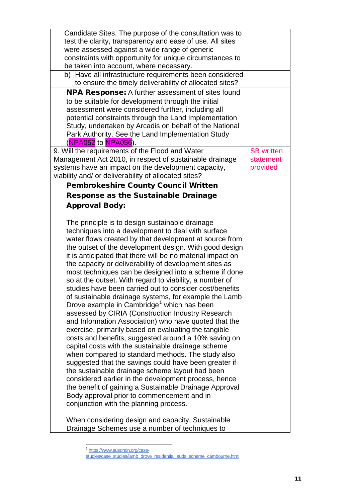| Candidate Sites. The purpose of the consultation was to<br>test the clarity, transparency and ease of use. All sites                                                                                                                                                                                                                                                                                                                                                                                                                                                                                                                                                                                                                                                                                                                                                                                                                                                                                                                                                                                                                                                                                                                                                                                                                                                                                                      |                                            |
|---------------------------------------------------------------------------------------------------------------------------------------------------------------------------------------------------------------------------------------------------------------------------------------------------------------------------------------------------------------------------------------------------------------------------------------------------------------------------------------------------------------------------------------------------------------------------------------------------------------------------------------------------------------------------------------------------------------------------------------------------------------------------------------------------------------------------------------------------------------------------------------------------------------------------------------------------------------------------------------------------------------------------------------------------------------------------------------------------------------------------------------------------------------------------------------------------------------------------------------------------------------------------------------------------------------------------------------------------------------------------------------------------------------------------|--------------------------------------------|
| were assessed against a wide range of generic<br>constraints with opportunity for unique circumstances to<br>be taken into account, where necessary.                                                                                                                                                                                                                                                                                                                                                                                                                                                                                                                                                                                                                                                                                                                                                                                                                                                                                                                                                                                                                                                                                                                                                                                                                                                                      |                                            |
| b) Have all infrastructure requirements been considered<br>to ensure the timely deliverability of allocated sites?                                                                                                                                                                                                                                                                                                                                                                                                                                                                                                                                                                                                                                                                                                                                                                                                                                                                                                                                                                                                                                                                                                                                                                                                                                                                                                        |                                            |
| <b>NPA Response:</b> A further assessment of sites found<br>to be suitable for development through the initial<br>assessment were considered further, including all<br>potential constraints through the Land Implementation<br>Study, undertaken by Arcadis on behalf of the National<br>Park Authority. See the Land Implementation Study<br>(NPA052 to NPA056).                                                                                                                                                                                                                                                                                                                                                                                                                                                                                                                                                                                                                                                                                                                                                                                                                                                                                                                                                                                                                                                        |                                            |
| 9. Will the requirements of the Flood and Water<br>Management Act 2010, in respect of sustainable drainage<br>systems have an impact on the development capacity,<br>viability and/ or deliverability of allocated sites?                                                                                                                                                                                                                                                                                                                                                                                                                                                                                                                                                                                                                                                                                                                                                                                                                                                                                                                                                                                                                                                                                                                                                                                                 | <b>SB</b> written<br>statement<br>provided |
| <b>Pembrokeshire County Council Written</b>                                                                                                                                                                                                                                                                                                                                                                                                                                                                                                                                                                                                                                                                                                                                                                                                                                                                                                                                                                                                                                                                                                                                                                                                                                                                                                                                                                               |                                            |
| <b>Response as the Sustainable Drainage</b>                                                                                                                                                                                                                                                                                                                                                                                                                                                                                                                                                                                                                                                                                                                                                                                                                                                                                                                                                                                                                                                                                                                                                                                                                                                                                                                                                                               |                                            |
| <b>Approval Body:</b>                                                                                                                                                                                                                                                                                                                                                                                                                                                                                                                                                                                                                                                                                                                                                                                                                                                                                                                                                                                                                                                                                                                                                                                                                                                                                                                                                                                                     |                                            |
| The principle is to design sustainable drainage<br>techniques into a development to deal with surface<br>water flows created by that development at source from<br>the outset of the development design. With good design<br>it is anticipated that there will be no material impact on<br>the capacity or deliverability of development sites as<br>most techniques can be designed into a scheme if done<br>so at the outset. With regard to viability, a number of<br>studies have been carried out to consider cost/benefits<br>of sustainable drainage systems, for example the Lamb<br>Drove example in Cambridge <sup>1</sup> which has been<br>assessed by CIRIA (Construction Industry Research<br>and Information Association) who have quoted that the<br>exercise, primarily based on evaluating the tangible<br>costs and benefits, suggested around a 10% saving on<br>capital costs with the sustainable drainage scheme<br>when compared to standard methods. The study also<br>suggested that the savings could have been greater if<br>the sustainable drainage scheme layout had been<br>considered earlier in the development process, hence<br>the benefit of gaining a Sustainable Drainage Approval<br>Body approval prior to commencement and in<br>conjunction with the planning process.<br>When considering design and capacity, Sustainable<br>Drainage Schemes use a number of techniques to |                                            |

<sup>1</sup> [https://www.susdrain.org/case-](https://www.susdrain.org/case-studies/case_studies/lamb_drove_residential_suds_scheme_cambourne.html)

-

<span id="page-11-0"></span>studies/case\_studies/lamb\_drove\_residential\_suds\_scheme\_cambourne.html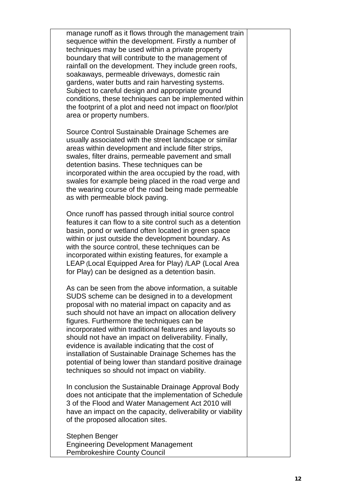| manage runoff as it flows through the management train<br>sequence within the development. Firstly a number of<br>techniques may be used within a private property<br>boundary that will contribute to the management of<br>rainfall on the development. They include green roofs,<br>soakaways, permeable driveways, domestic rain<br>gardens, water butts and rain harvesting systems.<br>Subject to careful design and appropriate ground<br>conditions, these techniques can be implemented within<br>the footprint of a plot and need not impact on floor/plot<br>area or property numbers.                     |  |
|----------------------------------------------------------------------------------------------------------------------------------------------------------------------------------------------------------------------------------------------------------------------------------------------------------------------------------------------------------------------------------------------------------------------------------------------------------------------------------------------------------------------------------------------------------------------------------------------------------------------|--|
| Source Control Sustainable Drainage Schemes are<br>usually associated with the street landscape or similar<br>areas within development and include filter strips,<br>swales, filter drains, permeable pavement and small<br>detention basins. These techniques can be<br>incorporated within the area occupied by the road, with<br>swales for example being placed in the road verge and<br>the wearing course of the road being made permeable<br>as with permeable block paving.                                                                                                                                  |  |
| Once runoff has passed through initial source control<br>features it can flow to a site control such as a detention<br>basin, pond or wetland often located in green space<br>within or just outside the development boundary. As<br>with the source control, these techniques can be<br>incorporated within existing features, for example a<br>LEAP (Local Equipped Area for Play) /LAP (Local Area<br>for Play) can be designed as a detention basin.                                                                                                                                                             |  |
| As can be seen from the above information, a suitable<br>SUDS scheme can be designed in to a development<br>proposal with no material impact on capacity and as<br>such should not have an impact on allocation delivery<br>figures. Furthermore the techniques can be<br>incorporated within traditional features and layouts so<br>should not have an impact on deliverability. Finally,<br>evidence is available indicating that the cost of<br>installation of Sustainable Drainage Schemes has the<br>potential of being lower than standard positive drainage<br>techniques so should not impact on viability. |  |
| In conclusion the Sustainable Drainage Approval Body<br>does not anticipate that the implementation of Schedule<br>3 of the Flood and Water Management Act 2010 will<br>have an impact on the capacity, deliverability or viability<br>of the proposed allocation sites.                                                                                                                                                                                                                                                                                                                                             |  |
| Stephen Benger<br><b>Engineering Development Management</b>                                                                                                                                                                                                                                                                                                                                                                                                                                                                                                                                                          |  |

Pembrokeshire County Council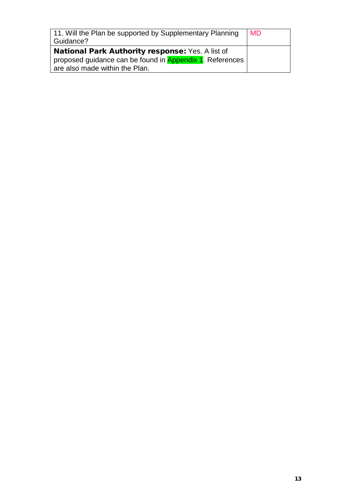| 11. Will the Plan be supported by Supplementary Planning<br>Guidance? | <b>MD</b> |
|-----------------------------------------------------------------------|-----------|
| <b>National Park Authority response: Yes. A list of</b>               |           |
| proposed guidance can be found in <b>Appendix 1</b> . References      |           |
| are also made within the Plan.                                        |           |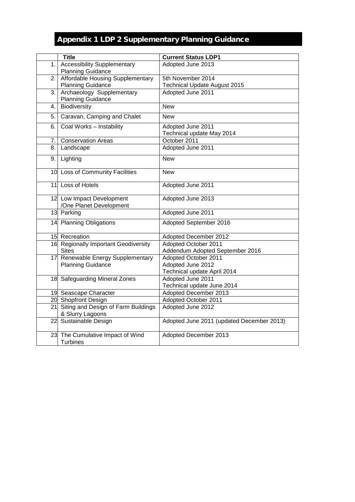### Appendix 1 LDP 2 Supplementary Planning Guidance

| 1.<br>Adopted June 2013<br><b>Planning Guidance</b><br><b>Affordable Housing Supplementary</b><br>5th November 2014<br>2.1<br><b>Planning Guidance</b><br><b>Technical Update August 2015</b><br>Archaeology Supplementary<br>Adopted June 2011<br>3.<br><b>Planning Guidance</b><br>Biodiversity<br><b>New</b><br>4.<br>Caravan, Camping and Chalet<br><b>New</b><br>5.<br>Coal Works - Instability<br>Adopted June 2011<br>6.<br>Technical update May 2014<br><b>Conservation Areas</b><br>October 2011<br>7.<br>Adopted June 2011<br>8.<br>Landscape<br>Lighting<br><b>New</b><br>9.<br>10 Loss of Community Facilities<br><b>New</b><br>Loss of Hotels<br>Adopted June 2011<br>11<br>Adopted June 2013<br>12 Low Impact Development<br>/One Planet Development<br>13 Parking<br>Adopted June 2011<br>14 Planning Obligations<br>Adopted September 2016<br>15 Recreation<br>Adopted December 2012<br>16 Regionally Important Geodiversity<br>Adopted October 2011<br><b>Sites</b><br>Addendum Adopted September 2016<br>17 Renewable Energy Supplementary<br>Adopted October 2011<br><b>Planning Guidance</b><br>Adopted June 2012<br>Technical update April 2014<br>18 Safeguarding Mineral Zones<br>Adopted June 2011<br>Technical update June 2014<br>19 Seascape Character<br>Adopted December 2013<br>Adopted October 2011<br>20 Shopfront Design<br>21 Siting and Design of Farm Buildings<br>Adopted June 2012<br>& Slurry Lagoons<br>22 Sustainable Design<br>Adopted June 2011 (updated December 2013)<br>23 The Cumulative Impact of Wind<br>Adopted December 2013 | <b>Title</b>                       | <b>Current Status LDP1</b> |
|---------------------------------------------------------------------------------------------------------------------------------------------------------------------------------------------------------------------------------------------------------------------------------------------------------------------------------------------------------------------------------------------------------------------------------------------------------------------------------------------------------------------------------------------------------------------------------------------------------------------------------------------------------------------------------------------------------------------------------------------------------------------------------------------------------------------------------------------------------------------------------------------------------------------------------------------------------------------------------------------------------------------------------------------------------------------------------------------------------------------------------------------------------------------------------------------------------------------------------------------------------------------------------------------------------------------------------------------------------------------------------------------------------------------------------------------------------------------------------------------------------------------------------------------------------------------------------|------------------------------------|----------------------------|
|                                                                                                                                                                                                                                                                                                                                                                                                                                                                                                                                                                                                                                                                                                                                                                                                                                                                                                                                                                                                                                                                                                                                                                                                                                                                                                                                                                                                                                                                                                                                                                                 | <b>Accessibility Supplementary</b> |                            |
|                                                                                                                                                                                                                                                                                                                                                                                                                                                                                                                                                                                                                                                                                                                                                                                                                                                                                                                                                                                                                                                                                                                                                                                                                                                                                                                                                                                                                                                                                                                                                                                 |                                    |                            |
|                                                                                                                                                                                                                                                                                                                                                                                                                                                                                                                                                                                                                                                                                                                                                                                                                                                                                                                                                                                                                                                                                                                                                                                                                                                                                                                                                                                                                                                                                                                                                                                 |                                    |                            |
|                                                                                                                                                                                                                                                                                                                                                                                                                                                                                                                                                                                                                                                                                                                                                                                                                                                                                                                                                                                                                                                                                                                                                                                                                                                                                                                                                                                                                                                                                                                                                                                 |                                    |                            |
|                                                                                                                                                                                                                                                                                                                                                                                                                                                                                                                                                                                                                                                                                                                                                                                                                                                                                                                                                                                                                                                                                                                                                                                                                                                                                                                                                                                                                                                                                                                                                                                 |                                    |                            |
|                                                                                                                                                                                                                                                                                                                                                                                                                                                                                                                                                                                                                                                                                                                                                                                                                                                                                                                                                                                                                                                                                                                                                                                                                                                                                                                                                                                                                                                                                                                                                                                 |                                    |                            |
|                                                                                                                                                                                                                                                                                                                                                                                                                                                                                                                                                                                                                                                                                                                                                                                                                                                                                                                                                                                                                                                                                                                                                                                                                                                                                                                                                                                                                                                                                                                                                                                 |                                    |                            |
|                                                                                                                                                                                                                                                                                                                                                                                                                                                                                                                                                                                                                                                                                                                                                                                                                                                                                                                                                                                                                                                                                                                                                                                                                                                                                                                                                                                                                                                                                                                                                                                 |                                    |                            |
|                                                                                                                                                                                                                                                                                                                                                                                                                                                                                                                                                                                                                                                                                                                                                                                                                                                                                                                                                                                                                                                                                                                                                                                                                                                                                                                                                                                                                                                                                                                                                                                 |                                    |                            |
|                                                                                                                                                                                                                                                                                                                                                                                                                                                                                                                                                                                                                                                                                                                                                                                                                                                                                                                                                                                                                                                                                                                                                                                                                                                                                                                                                                                                                                                                                                                                                                                 |                                    |                            |
|                                                                                                                                                                                                                                                                                                                                                                                                                                                                                                                                                                                                                                                                                                                                                                                                                                                                                                                                                                                                                                                                                                                                                                                                                                                                                                                                                                                                                                                                                                                                                                                 |                                    |                            |
|                                                                                                                                                                                                                                                                                                                                                                                                                                                                                                                                                                                                                                                                                                                                                                                                                                                                                                                                                                                                                                                                                                                                                                                                                                                                                                                                                                                                                                                                                                                                                                                 |                                    |                            |
|                                                                                                                                                                                                                                                                                                                                                                                                                                                                                                                                                                                                                                                                                                                                                                                                                                                                                                                                                                                                                                                                                                                                                                                                                                                                                                                                                                                                                                                                                                                                                                                 |                                    |                            |
|                                                                                                                                                                                                                                                                                                                                                                                                                                                                                                                                                                                                                                                                                                                                                                                                                                                                                                                                                                                                                                                                                                                                                                                                                                                                                                                                                                                                                                                                                                                                                                                 |                                    |                            |
|                                                                                                                                                                                                                                                                                                                                                                                                                                                                                                                                                                                                                                                                                                                                                                                                                                                                                                                                                                                                                                                                                                                                                                                                                                                                                                                                                                                                                                                                                                                                                                                 |                                    |                            |
|                                                                                                                                                                                                                                                                                                                                                                                                                                                                                                                                                                                                                                                                                                                                                                                                                                                                                                                                                                                                                                                                                                                                                                                                                                                                                                                                                                                                                                                                                                                                                                                 |                                    |                            |
|                                                                                                                                                                                                                                                                                                                                                                                                                                                                                                                                                                                                                                                                                                                                                                                                                                                                                                                                                                                                                                                                                                                                                                                                                                                                                                                                                                                                                                                                                                                                                                                 |                                    |                            |
|                                                                                                                                                                                                                                                                                                                                                                                                                                                                                                                                                                                                                                                                                                                                                                                                                                                                                                                                                                                                                                                                                                                                                                                                                                                                                                                                                                                                                                                                                                                                                                                 |                                    |                            |
|                                                                                                                                                                                                                                                                                                                                                                                                                                                                                                                                                                                                                                                                                                                                                                                                                                                                                                                                                                                                                                                                                                                                                                                                                                                                                                                                                                                                                                                                                                                                                                                 |                                    |                            |
|                                                                                                                                                                                                                                                                                                                                                                                                                                                                                                                                                                                                                                                                                                                                                                                                                                                                                                                                                                                                                                                                                                                                                                                                                                                                                                                                                                                                                                                                                                                                                                                 |                                    |                            |
|                                                                                                                                                                                                                                                                                                                                                                                                                                                                                                                                                                                                                                                                                                                                                                                                                                                                                                                                                                                                                                                                                                                                                                                                                                                                                                                                                                                                                                                                                                                                                                                 |                                    |                            |
|                                                                                                                                                                                                                                                                                                                                                                                                                                                                                                                                                                                                                                                                                                                                                                                                                                                                                                                                                                                                                                                                                                                                                                                                                                                                                                                                                                                                                                                                                                                                                                                 |                                    |                            |
|                                                                                                                                                                                                                                                                                                                                                                                                                                                                                                                                                                                                                                                                                                                                                                                                                                                                                                                                                                                                                                                                                                                                                                                                                                                                                                                                                                                                                                                                                                                                                                                 |                                    |                            |
|                                                                                                                                                                                                                                                                                                                                                                                                                                                                                                                                                                                                                                                                                                                                                                                                                                                                                                                                                                                                                                                                                                                                                                                                                                                                                                                                                                                                                                                                                                                                                                                 |                                    |                            |
|                                                                                                                                                                                                                                                                                                                                                                                                                                                                                                                                                                                                                                                                                                                                                                                                                                                                                                                                                                                                                                                                                                                                                                                                                                                                                                                                                                                                                                                                                                                                                                                 |                                    |                            |
|                                                                                                                                                                                                                                                                                                                                                                                                                                                                                                                                                                                                                                                                                                                                                                                                                                                                                                                                                                                                                                                                                                                                                                                                                                                                                                                                                                                                                                                                                                                                                                                 |                                    |                            |
|                                                                                                                                                                                                                                                                                                                                                                                                                                                                                                                                                                                                                                                                                                                                                                                                                                                                                                                                                                                                                                                                                                                                                                                                                                                                                                                                                                                                                                                                                                                                                                                 |                                    |                            |
|                                                                                                                                                                                                                                                                                                                                                                                                                                                                                                                                                                                                                                                                                                                                                                                                                                                                                                                                                                                                                                                                                                                                                                                                                                                                                                                                                                                                                                                                                                                                                                                 |                                    |                            |
|                                                                                                                                                                                                                                                                                                                                                                                                                                                                                                                                                                                                                                                                                                                                                                                                                                                                                                                                                                                                                                                                                                                                                                                                                                                                                                                                                                                                                                                                                                                                                                                 |                                    |                            |
|                                                                                                                                                                                                                                                                                                                                                                                                                                                                                                                                                                                                                                                                                                                                                                                                                                                                                                                                                                                                                                                                                                                                                                                                                                                                                                                                                                                                                                                                                                                                                                                 |                                    |                            |
|                                                                                                                                                                                                                                                                                                                                                                                                                                                                                                                                                                                                                                                                                                                                                                                                                                                                                                                                                                                                                                                                                                                                                                                                                                                                                                                                                                                                                                                                                                                                                                                 |                                    |                            |
|                                                                                                                                                                                                                                                                                                                                                                                                                                                                                                                                                                                                                                                                                                                                                                                                                                                                                                                                                                                                                                                                                                                                                                                                                                                                                                                                                                                                                                                                                                                                                                                 |                                    |                            |
|                                                                                                                                                                                                                                                                                                                                                                                                                                                                                                                                                                                                                                                                                                                                                                                                                                                                                                                                                                                                                                                                                                                                                                                                                                                                                                                                                                                                                                                                                                                                                                                 |                                    |                            |
|                                                                                                                                                                                                                                                                                                                                                                                                                                                                                                                                                                                                                                                                                                                                                                                                                                                                                                                                                                                                                                                                                                                                                                                                                                                                                                                                                                                                                                                                                                                                                                                 |                                    |                            |
|                                                                                                                                                                                                                                                                                                                                                                                                                                                                                                                                                                                                                                                                                                                                                                                                                                                                                                                                                                                                                                                                                                                                                                                                                                                                                                                                                                                                                                                                                                                                                                                 |                                    |                            |
| <b>Turbines</b>                                                                                                                                                                                                                                                                                                                                                                                                                                                                                                                                                                                                                                                                                                                                                                                                                                                                                                                                                                                                                                                                                                                                                                                                                                                                                                                                                                                                                                                                                                                                                                 |                                    |                            |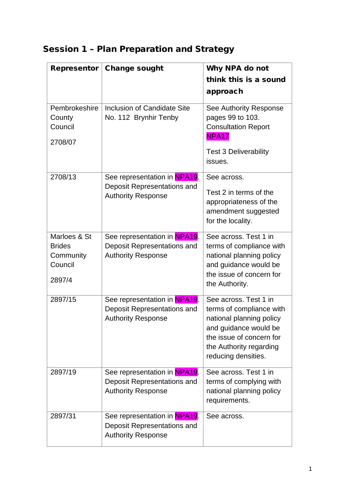### Session 1 – Plan Preparation and Strategy

| Representor                   | <b>Change sought</b>                                     | Why NPA do not                                       |
|-------------------------------|----------------------------------------------------------|------------------------------------------------------|
|                               |                                                          | think this is a sound                                |
|                               |                                                          | approach                                             |
| Pembrokeshire                 | <b>Inclusion of Candidate Site</b>                       | See Authority Response                               |
| County                        | No. 112 Brynhir Tenby                                    | pages 99 to 103.                                     |
| Council                       |                                                          | <b>Consultation Report</b><br>NPA <sub>17</sub>      |
| 2708/07                       |                                                          | <b>Test 3 Deliverability</b>                         |
|                               |                                                          | issues.                                              |
| 2708/13                       | See representation in NPA19.                             | See across.                                          |
|                               | Deposit Representations and<br><b>Authority Response</b> | Test 2 in terms of the                               |
|                               |                                                          | appropriateness of the                               |
|                               |                                                          | amendment suggested<br>for the locality.             |
|                               |                                                          |                                                      |
| Marloes & St<br><b>Brides</b> | See representation in NPA19.                             | See across. Test 1 in                                |
| Community                     | Deposit Representations and<br><b>Authority Response</b> | terms of compliance with<br>national planning policy |
| Council                       |                                                          | and guidance would be                                |
|                               |                                                          | the issue of concern for                             |
| 2897/4                        |                                                          | the Authority.                                       |
| 2897/15                       | See representation in NPA19.                             | See across. Test 1 in                                |
|                               | Deposit Representations and                              | terms of compliance with                             |
|                               | <b>Authority Response</b>                                | national planning policy                             |
|                               |                                                          | and guidance would be<br>the issue of concern for    |
|                               |                                                          | the Authority regarding                              |
|                               |                                                          | reducing densities.                                  |
| 2897/19                       | See representation in NPA19.                             | See across. Test 1 in                                |
|                               | Deposit Representations and                              | terms of complying with                              |
|                               | <b>Authority Response</b>                                | national planning policy<br>requirements.            |
| 2897/31                       | See representation in NPA19.                             | See across.                                          |
|                               | Deposit Representations and                              |                                                      |
|                               | <b>Authority Response</b>                                |                                                      |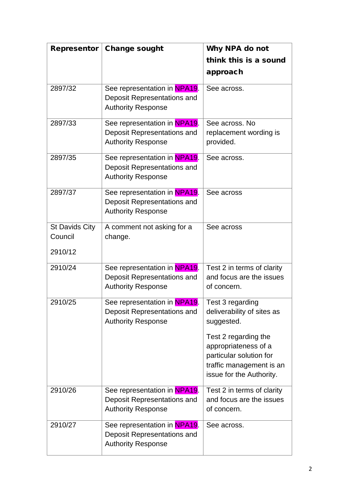| Representor           | <b>Change sought</b>         | Why NPA do not             |
|-----------------------|------------------------------|----------------------------|
|                       |                              | think this is a sound      |
|                       |                              | approach                   |
| 2897/32               | See representation in NPA19. | See across.                |
|                       | Deposit Representations and  |                            |
|                       | <b>Authority Response</b>    |                            |
| 2897/33               | See representation in NPA19. | See across, No             |
|                       | Deposit Representations and  | replacement wording is     |
|                       | <b>Authority Response</b>    | provided.                  |
| 2897/35               | See representation in NPA19. | See across.                |
|                       | Deposit Representations and  |                            |
|                       | <b>Authority Response</b>    |                            |
| 2897/37               | See representation in NPA19. | See across                 |
|                       | Deposit Representations and  |                            |
|                       | <b>Authority Response</b>    |                            |
| <b>St Davids City</b> | A comment not asking for a   | See across                 |
| Council               | change.                      |                            |
| 2910/12               |                              |                            |
| 2910/24               | See representation in NPA19. | Test 2 in terms of clarity |
|                       | Deposit Representations and  | and focus are the issues   |
|                       | <b>Authority Response</b>    | of concern.                |
| 2910/25               | See representation in NPA19. | Test 3 regarding           |
|                       | Deposit Representations and  | deliverability of sites as |
|                       | <b>Authority Response</b>    | suggested.                 |
|                       |                              | Test 2 regarding the       |
|                       |                              | appropriateness of a       |
|                       |                              | particular solution for    |
|                       |                              | traffic management is an   |
|                       |                              | issue for the Authority.   |
| 2910/26               | See representation in NPA19. | Test 2 in terms of clarity |
|                       | Deposit Representations and  | and focus are the issues   |
|                       | <b>Authority Response</b>    | of concern.                |
| 2910/27               | See representation in NPA19. | See across.                |
|                       | Deposit Representations and  |                            |
|                       | <b>Authority Response</b>    |                            |